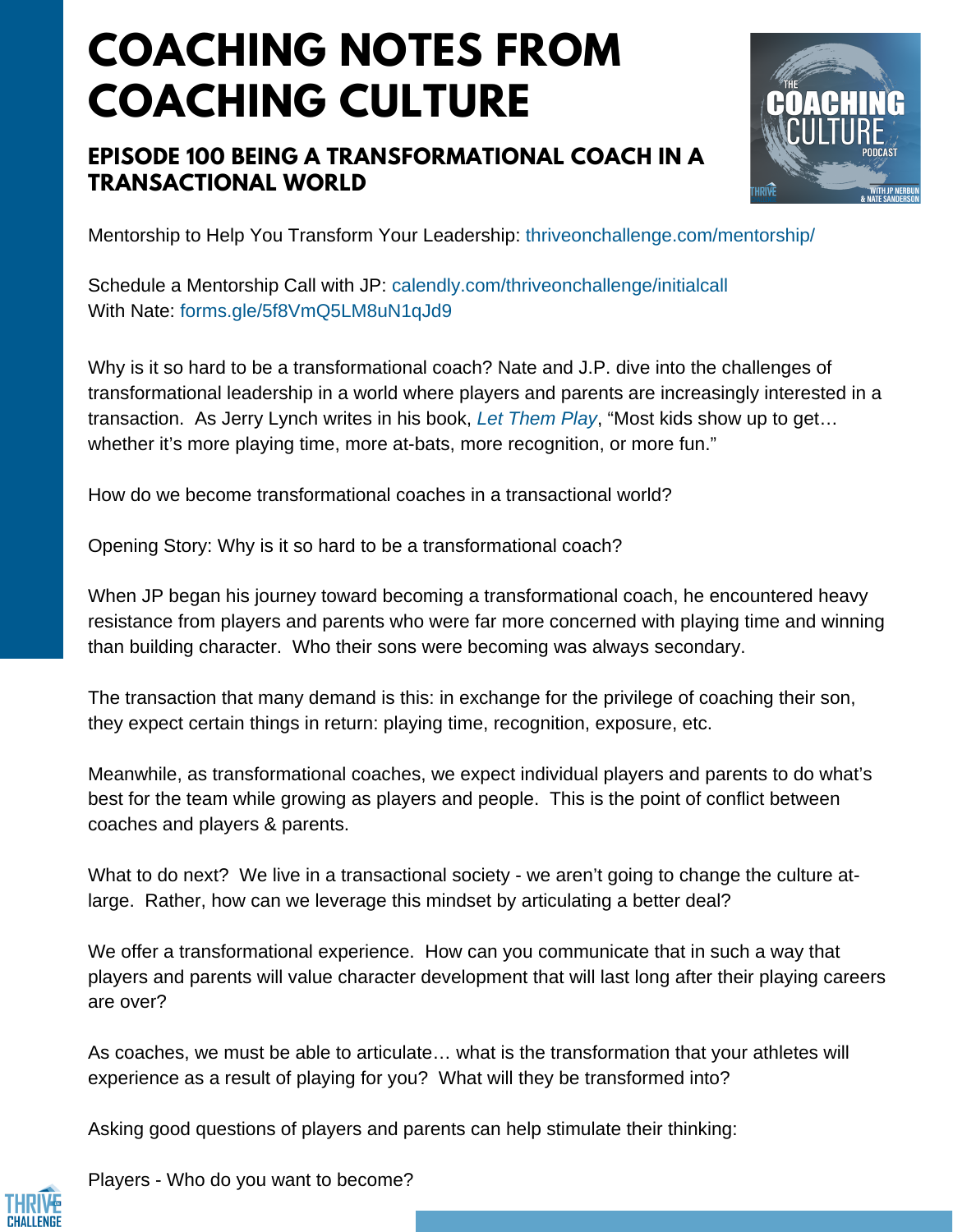# **COACHING NOTES FROM COACHING CULTURE**

### **EPISODE 100 BEING A TRANSFORMATIONAL COACH IN A TRANSACTIONAL WORLD**



Mentorship to Help You Transform Your Leadership: <thriveonchallenge.com/mentorship/>

Schedule a Mentorship Call with JP: <calendly.com/thriveonchallenge/initialcall> With Nate: forms.gle/5f8VmO5LM8uN1qJd9

Why is it so hard to be a transformational coach? Nate and J.P. dive into the challenges of transformational leadership in a world where players and parents are increasingly interested in a transaction. As Jerry Lynch writes in his book, *Let [Them](https://www.amazon.com/Let-Them-Play-Mindful-Success/dp/1608684342/ref=sr_1_2?keywords=jerry+lynch+let+them+play&qid=1566486563&s=gateway&sr=8-2) Play*, "Most kids show up to get… whether it's more playing time, more at-bats, more recognition, or more fun."

How do we become transformational coaches in a transactional world?

Opening Story: Why is it so hard to be a transformational coach?

When JP began his journey toward becoming a transformational coach, he encountered heavy resistance from players and parents who were far more concerned with playing time and winning than building character. Who their sons were becoming was always secondary.

The transaction that many demand is this: in exchange for the privilege of coaching their son, they expect certain things in return: playing time, recognition, exposure, etc.

Meanwhile, as transformational coaches, we expect individual players and parents to do what's best for the team while growing as players and people. This is the point of conflict between coaches and players & parents.

What to do next? We live in a transactional society - we aren't going to change the culture atlarge. Rather, how can we leverage this mindset by articulating a better deal?

We offer a transformational experience. How can you communicate that in such a way that players and parents will value character development that will last long after their playing careers are over?

As coaches, we must be able to articulate… what is the transformation that your athletes will experience as a result of playing for you? What will they be transformed into?

Asking good questions of players and parents can help stimulate their thinking:

Players - Who do you want to become?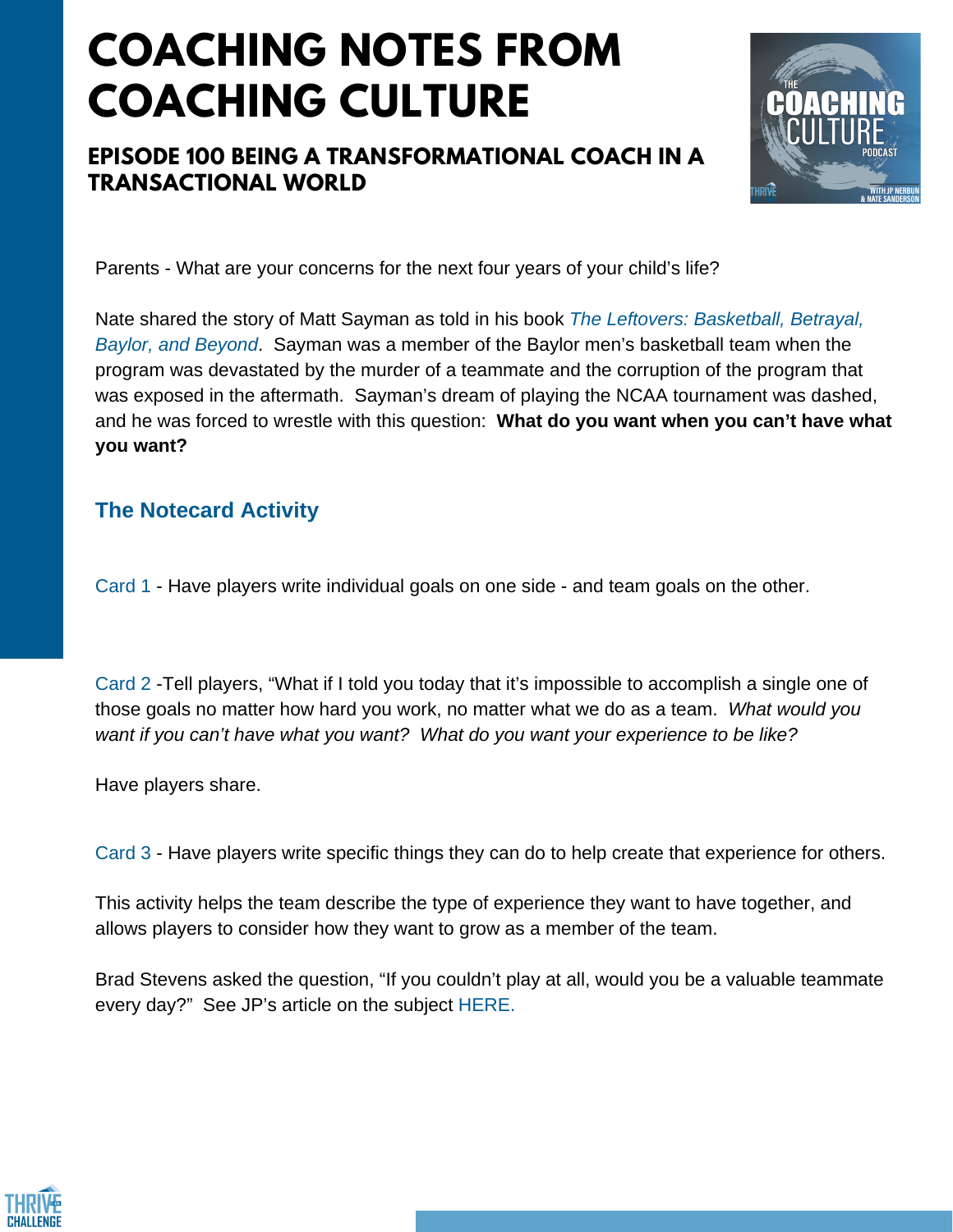## **COACHING NOTES FROM COACHING CULTURE**

### **EPISODE 100 BEING A TRANSFORMATIONAL COACH IN A TRANSACTIONAL WORLD**



Parents - What are your concerns for the next four years of your child's life?

Nate shared the story of Matt Sayman as told in his book *The Leftovers: [Basketball,](https://www.amazon.com/Leftovers-Basketball-Betrayal-Baylor-Beyond/dp/1626970181/ref=sr_1_3?keywords=the+leftovers+baylor+book&qid=1566486496&s=gateway&sr=8-3) Betrayal, Baylor, and [Beyond](https://www.amazon.com/Leftovers-Basketball-Betrayal-Baylor-Beyond/dp/1626970181/ref=sr_1_3?keywords=the+leftovers+baylor+book&qid=1566486496&s=gateway&sr=8-3)*. Sayman was a member of the Baylor men's basketball team when the program was devastated by the murder of a teammate and the corruption of the program that was exposed in the aftermath. Sayman's dream of playing the NCAA tournament was dashed, and he was forced to wrestle with this question: **What do you want when you can't have what you want?**

#### **The [Notecard](https://www.breakthroughbasketball.com/coaching/stopped-dealing-with-parents.html?filterreviews=newest#viewcomments) Activity**

Card 1 - Have players write individual goals on one side - and team goals on the other.

Card 2 -Tell players, "What if I told you today that it's impossible to accomplish a single one of those goals no matter how hard you work, no matter what we do as a team. *What would you want if you can't have what you want? What do you want your experience to be like?*

Have players share.

Card 3 - Have players write specific things they can do to help create that experience for others.

This activity helps the team describe the type of experience they want to have together, and allows players to consider how they want to grow as a member of the team.

Brad Stevens asked the question, "If you couldn't play at all, would you be a valuable teammate every day?" See JP's article on the subject [HERE.](https://thriveonchallenge.com/if-you-couldnt-play-at-all/)